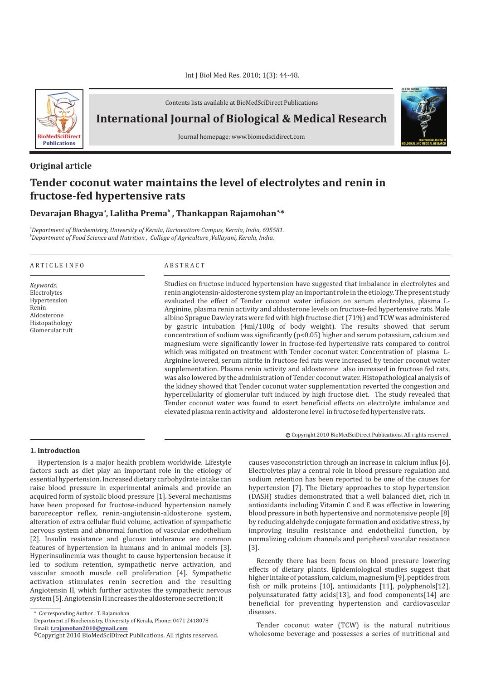

Contents lists available at BioMedSciDirect Publications

**International Journal of Biological & Medical Research** 

Journal homepage: www.biomedscidirect.com

## **Original article**

# **Tender coconut water maintains the level of electrolytes and renin in fructose-fed hypertensive rats**

# **a, Devarajan Bhagya , Lalitha Prema , Thankappan Rajamohan \* a b**

*a Department of Biochemistry, University of Kerala, Kariavattom Campus, Kerala, India, 695581. b Department of Food Science and Nutrition , College of Agriculture ,Vellayani, Kerala, India.*

#### A R T I C L E I N F O A B S T R A C T

*Keywords:* Electrolytes Hypertension Renin Aldosterone Histopathology Glomerular tuft

Studies on fructose induced hypertension have suggested that imbalance in electrolytes and renin angiotensin-aldosterone system play an important role in the etiology. The present study evaluated the effect of Tender coconut water infusion on serum electrolytes, plasma L-Arginine, plasma renin activity and aldosterone levels on fructose-fed hypertensive rats. Male albino Sprague Dawley rats were fed with high fructose diet (71%) and TCW was administered by gastric intubation (4ml/100g of body weight). The results showed that serum concentration of sodium was significantly  $(p<0.05)$  higher and serum potassium, calcium and magnesium were significantly lower in fructose-fed hypertensive rats compared to control which was mitigated on treatment with Tender coconut water. Concentration of plasma L-Arginine lowered, serum nitrite in fructose fed rats were increased by tender coconut water supplementation. Plasma renin activity and aldosterone also increased in fructose fed rats, was also lowered by the administration of Tender coconut water. Histopathological analysis of the kidney showed that Tender coconut water supplementation reverted the congestion and hypercellularity of glomerular tuft induced by high fructose diet. The study revealed that Tender coconut water was found to exert beneficial effects on electrolyte imbalance and elevated plasma renin activity and aldosterone level in fructose fed hypertensive rats.

© Copyright 2010 BioMedSciDirect Publications. All rights reserved.

**International Journal of BIOLOGICAL AND MEDICAL RESEARCH**

**Int J Biol Med Res www.biomedscidirect.com Volume 3, Issue 3, July 2010**

#### **1. Introduction**

Hypertension is a major health problem worldwide. Lifestyle factors such as diet play an important role in the etiology of essential hypertension. Increased dietary carbohydrate intake can raise blood pressure in experimental animals and provide an acquired form of systolic blood pressure [1]. Several mechanisms have been proposed for fructose-induced hypertension namely baroreceptor reflex, renin-angiotensin-aldosterone system, alteration of extra cellular fluid volume, activation of sympathetic nervous system and abnormal function of vascular endothelium [2]. Insulin resistance and glucose intolerance are common features of hypertension in humans and in animal models [3]. Hyperinsulinemia was thought to cause hypertension because it led to sodium retention, sympathetic nerve activation, and vascular smooth muscle cell proliferation [4]. Sympathetic activation stimulates renin secretion and the resulting Angiotensin II, which further activates the sympathetic nervous system [5]. Angiotensin II increases the aldosterone secretion; it

causes vasoconstriction through an increase in calcium influx [6]. Electrolytes play a central role in blood pressure regulation and sodium retention has been reported to be one of the causes for hypertension [7]. The Dietary approaches to stop hypertension (DASH) studies demonstrated that a well balanced diet, rich in antioxidants including Vitamin C and E was effective in lowering blood pressure in both hypertensive and normotensive people [8] by reducing aldehyde conjugate formation and oxidative stress, by improving insulin resistance and endothelial function, by normalizing calcium channels and peripheral vascular resistance [3].

Recently there has been focus on blood pressure lowering effects of dietary plants. Epidemiological studies suggest that higher intake of potassium, calcium, magnesium [9], peptides from fish or milk proteins [10], antioxidants [11], polyphenols[12], polyunsaturated fatty acids[13], and food components[14] are beneficial for preventing hypertension and cardiovascular diseases.

Tender coconut water (TCW) is the natural nutritious wholesome beverage and possesses a series of nutritional and

<sup>\*</sup> Corresponding Author : T. Rajamohan

Department of Biochemistry, University of Kerala, Phone: 0471 2418078Email: **t.rajamohan2010@gmail.com**

<sup>©</sup>Copyright 2010 BioMedSciDirect Publications. All rights reserved.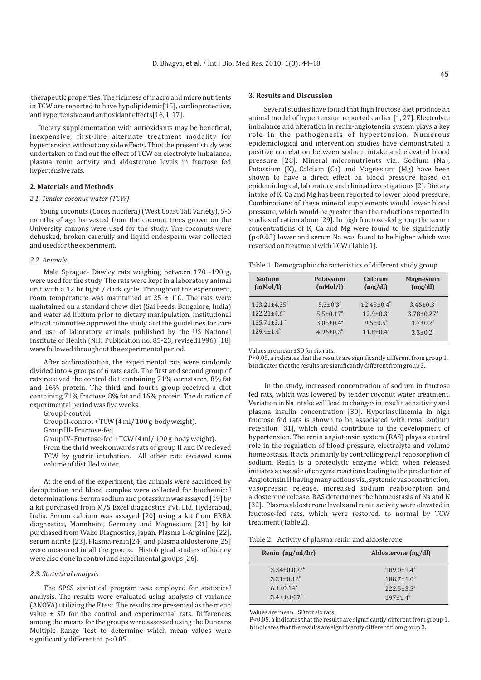therapeutic properties. The richness of macro and micro nutrients in TCW are reported to have hypolipidemic[15], cardioprotective, antihypertensive and antioxidant effects[16, 1, 17].

Dietary supplementation with antioxidants may be beneficial, inexpensive, first-line alternate treatment modality for hypertension without any side effects. Thus the present study was undertaken to find out the effect of TCW on electrolyte imbalance, plasma renin activity and aldosterone levels in fructose fed hypertensive rats.

#### **2. Materials and Methods**

#### *2.1. Tender coconut water (TCW)*

Young coconuts (Cocos nucifera) (West Coast Tall Variety), 5-6 months of age harvested from the coconut trees grown on the University campus were used for the study. The coconuts were dehusked, broken carefully and liquid endosperm was collected and used for the experiment.

#### *2.2. Animals*

Male Sprague- Dawley rats weighing between 170 -190 g, were used for the study. The rats were kept in a laboratory animal unit with a 12 hr light / dark cycle. Throughout the experiment, room temperature was maintained at  $25 \pm 1^{\circ}$ C. The rats were maintained on a standard chow diet (Sai Feeds, Bangalore, India) and water ad libitum prior to dietary manipulation. Institutional ethical committee approved the study and the guidelines for care and use of laboratory animals published by the US National Institute of Health (NIH Publication no. 85-23, revised1996) [18] were followed throughout the experimental period.

After acclimatization, the experimental rats were randomly divided into 4 groups of 6 rats each. The first and second group of rats received the control diet containing 71% cornstarch, 8% fat and 16% protein. The third and fourth group received a diet containing 71% fructose, 8% fat and 16% protein. The duration of experimental period was five weeks.

Group I-control

Group II-control + TCW (4 ml/ 100 g body weight).

Group III- Fructose-fed

Group IV- Fructose-fed + TCW (4 ml/ 100 g body weight).

From the thrid week onwards rats of group II and IV recieved TCW by gastric intubation. All other rats recieved same volume of distilled water.

At the end of the experiment, the animals were sacrificed by decapitation and blood samples were collected for biochemical determinations. Serum sodium and potassium was assayed [19] by a kit purchased from M/S Excel diagnostics Pvt. Ltd. Hyderabad, India. Serum calcium was assayed [20] using a kit from ERBA diagnostics, Mannheim, Germany and Magnesium [21] by kit purchased from Wako Diagnostics, Japan. Plasma L-Arginine [22], serum nitrite [23], Plasma renin[24] and plasma aldosterone[25] were measured in all the groups. Histological studies of kidney were also done in control and experimental groups [26].

#### *2.3. Statistical analysis*

The SPSS statistical program was employed for statistical analysis. The results were evaluated using analysis of variance (ANOVA) utilizing the F test. The results are presented as the mean value ± SD for the control and experimental rats. Differences among the means for the groups were assessed using the Duncans Multiple Range Test to determine which mean values were significantly different at p<0.05.

### **3. Results and Discussion**

Several studies have found that high fructose diet produce an animal model of hypertension reported earlier [1, 27]. Electrolyte imbalance and alteration in renin-angiotensin system plays a key role in the pathogenesis of hypertension. Numerous epidemiological and intervention studies have demonstrated a positive correlation between sodium intake and elevated blood pressure [28]. Mineral micronutrients viz., Sodium (Na), Potassium (K), Calcium (Ca) and Magnesium (Mg) have been shown to have a direct effect on blood pressure based on epidemiological, laboratory and clinical investigations [2]. Dietary intake of K, Ca and Mg has been reported to lower blood pressure. Combinations of these mineral supplements would lower blood pressure, which would be greater than the reductions reported in studies of cation alone [29]. In high fructose-fed group the serum concentrations of K, Ca and Mg were found to be significantly (p<0.05) lower and serum Na was found to be higher which was reversed on treatment with TCW (Table 1).

Table 1. Demographic characteristics of different study group.

| Sodium                        | Potassium              | Calcium               | <b>Magnesium</b>             |
|-------------------------------|------------------------|-----------------------|------------------------------|
| (mMol/l)                      | (mMol/l)               | (mg/dl)               | (mg/dl)                      |
| $123.21 \pm 4.35^{\circ}$     | $5.3 \pm 0.3^{\circ}$  | $12.48 \pm 0.4^b$     | $3.46 \pm 0.3^b$             |
| $122.21 \pm 4.6^b$            | $5.5 \pm 0.17^b$       | $12.9 \pm 0.3^b$      | $3.78 \pm 0.27$ <sup>b</sup> |
| $135.71 \pm 3.1$ <sup>a</sup> | $3.05 \pm 0.4^{\circ}$ | $9.5 \pm 0.5^{\circ}$ | $1.7 \pm 0.2$ <sup>a</sup>   |
| $129.4+1.4^{b}$               | $4.96 \pm 0.3^b$       | $11.8 \pm 0.4^b$      | $3.3 \pm 0.2^b$              |

Values are mean ±SD for six rats.

P<0.05, a indicates that the results are significantly different from group 1, b indicates that the results are significantly different from group 3.

In the study, increased concentration of sodium in fructose fed rats, which was lowered by tender coconut water treatment. Variation in Na intake will lead to changes in insulin sensitivity and plasma insulin concentration [30]. Hyperinsulinemia in high fructose fed rats is shown to be associated with renal sodium retention [31], which could contribute to the development of hypertension. The renin angiotensin system (RAS) plays a central role in the regulation of blood pressure, electrolyte and volume homeostasis. It acts primarily by controlling renal reabsorption of sodium. Renin is a proteolytic enzyme which when released initiates a cascade of enzyme reactions leading to the production of Angiotensin II having many actions viz., systemic vasoconstriction, vasopressin release, increased sodium reabsorption and aldosterone release. RAS determines the homeostasis of Na and K [32]. Plasma aldosterone levels and renin activity were elevated in fructose-fed rats, which were restored, to normal by TCW treatment (Table 2).

| Renin $(ng/ml/hr)$          | Aldosterone (ng/dl)     |
|-----------------------------|-------------------------|
| $3.34 \pm 0.007^{\rm b}$    | $189.0 + 1.4^b$         |
| $3.21 + 0.12^b$             | $188.7 \pm 1.0^b$       |
| $6.1 \pm 0.14$ <sup>a</sup> | $222.5 \pm 3.5^{\circ}$ |
| $3.4 \pm 0.007^{\rm b}$     | $197+1.4^{b}$           |

Values are mean ±SD for six rats.

P<0.05, a indicates that the results are significantly different from group 1, b indicates that the results are significantly different from group 3.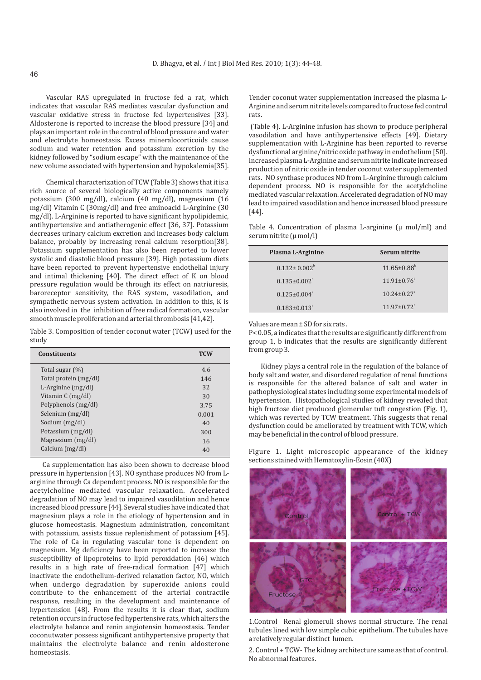Vascular RAS upregulated in fructose fed a rat, which indicates that vascular RAS mediates vascular dysfunction and vascular oxidative stress in fructose fed hypertensives [33]. Aldosterone is reported to increase the blood pressure [34] and plays an important role in the control of blood pressure and water and electrolyte homeostasis. Excess mineralocorticoids cause sodium and water retention and potassium excretion by the kidney followed by "sodium escape" with the maintenance of the new volume associated with hypertension and hypokalemia[35].

Chemical characterization of TCW (Table 3) shows that it is a rich source of several biologically active components namely potassium (300 mg/dl), calcium (40 mg/dl), magnesium (16 mg/dl) Vitamin C (30mg/dl) and free aminoacid L-Arginine (30 mg/dl). L-Arginine is reported to have significant hypolipidemic, antihypertensive and antiatherogenic effect [36, 37]. Potassium decreases urinary calcium excretion and increases body calcium balance, probably by increasing renal calcium resorption[38]. Potassium supplementation has also been reported to lower systolic and diastolic blood pressure [39]. High potassium diets have been reported to prevent hypertensive endothelial injury and intimal thickening [40]. The direct effect of K on blood pressure regulation would be through its effect on natriuresis, baroreceptor sensitivity, the RAS system, vasodilation, and sympathetic nervous system activation. In addition to this, K is also involved in the inhibition of free radical formation, vascular smooth muscle proliferation and arterial thrombosis [41,42].

Table 3. Composition of tender coconut water (TCW) used for the study

| <b>Constituents</b>   | <b>TCW</b> |
|-----------------------|------------|
| Total sugar (%)       | 4.6        |
| Total protein (mg/dl) | 146        |
| L-Arginine $(mg/dl)$  | 32         |
| Vitamin C (mg/dl)     | 30         |
| Polyphenols (mg/dl)   | 3.75       |
| Selenium (mg/dl)      | 0.001      |
| Sodium (mg/dl)        | 40         |
| Potassium (mg/dl)     | 300        |
| Magnesium (mg/dl)     | 16         |
| Calcium (mg/dl)       | 40         |

Ca supplementation has also been shown to decrease blood pressure in hypertension [43]. NO synthase produces NO from Larginine through Ca dependent process. NO is responsible for the acetylcholine mediated vascular relaxation. Accelerated degradation of NO may lead to impaired vasodilation and hence increased blood pressure [44]. Several studies have indicated that magnesium plays a role in the etiology of hypertension and in glucose homeostasis. Magnesium administration, concomitant with potassium, assists tissue replenishment of potassium [45]. The role of Ca in regulating vascular tone is dependent on magnesium. Mg deficiency have been reported to increase the susceptibility of lipoproteins to lipid peroxidation [46] which results in a high rate of free-radical formation [47] which inactivate the endothelium-derived relaxation factor, NO, which when undergo degradation by superoxide anions could contribute to the enhancement of the arterial contractile response, resulting in the development and maintenance of hypertension [48]. From the results it is clear that, sodium retention occurs in fructose fed hypertensive rats, which alters the electrolyte balance and renin angiotensin homeostasis. Tender coconutwater possess significant antihypertensive property that maintains the electrolyte balance and renin aldosterone homeostasis.

Tender coconut water supplementation increased the plasma L-Arginine and serum nitrite levels compared to fructose fed control rats.

(Table 4). L-Arginine infusion has shown to produce peripheral vasodilation and have antihypertensive effects [49]. Dietary supplementation with L-Arginine has been reported to reverse dysfunctional arginine/nitric oxide pathway in endothelium [50]. Increased plasma L-Arginine and serum nitrite indicate increased production of nitric oxide in tender coconut water supplemented rats. NO synthase produces NO from L-Arginine through calcium dependent process. NO is responsible for the acetylcholine mediated vascular relaxation. Accelerated degradation of NO may lead to impaired vasodilation and hence increased blood pressure [44].

Table 4. Concentration of plasma L-arginine (µ mol/ml) and serum nitrite (µ mol/l)

| Plasma L-Arginine              | Serum nitrite                 |
|--------------------------------|-------------------------------|
| $0.132 + 0.002^b$              | $11.65 \pm 0.88$ <sup>b</sup> |
| $0.135 \pm 0.002^b$            | $11.91 \pm 0.76^{\circ}$      |
| $0.125 \pm 0.004$ <sup>a</sup> | $10.24 + 0.27$ <sup>a</sup>   |
| $0.183 \pm 0.013^b$            | $11.97 \pm 0.72^b$            |

Values are mean ± SD for six rats .

P< 0.05, a indicates that the results are significantly different from group 1, b indicates that the results are significantly different from group 3.

Kidney plays a central role in the regulation of the balance of body salt and water, and disordered regulation of renal functions is responsible for the altered balance of salt and water in pathophysiological states including some experimental models of hypertension. Histopathological studies of kidney revealed that high fructose diet produced glomerular tuft congestion (Fig. 1), which was reverted by TCW treatment. This suggests that renal dysfunction could be ameliorated by treatment with TCW, which may be beneficial in the control of blood pressure.

Figure 1. Light microscopic appearance of the kidney sections stained with Hematoxylin-Eosin (40X)



1.Control Renal glomeruli shows normal structure. The renal tubules lined with low simple cubic epithelium. The tubules have a relatively regular distinct lumen.

2. Control + TCW- The kidney architecture same as that of control. No abnormal features.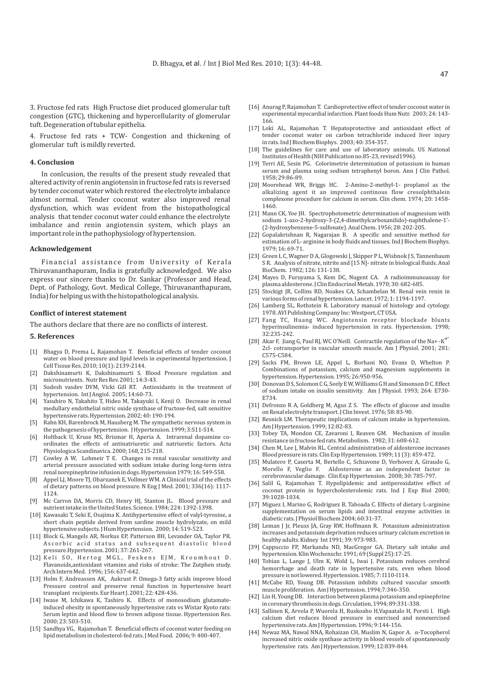3. Fructose fed rats High Fructose diet produced glomerular tuft congestion (GTC), thickening and hypercellularity of glomerular tuft. Degeneration of tubular epithelia.

4. Fructose fed rats + TCW- Congestion and thickening of glomerular tuft is mildly reverted.

#### **4. Conclusion**

In conlcusion, the results of the present study revealed that altered activity of renin angiotensin in fructose fed rats is reversed by tender coconut water which restored the electrolyte imbalance almost normal. Tender coconut water also improved renal dysfunction, which was evident from the histopathological analysis that tender coconut water could enhance the electrolyte imbalance and renin angiotensin system, which plays an important role in the pathophysiology of hypertension.

#### **Acknowledgement**

Financial assistance from University of Kerala Thiruvananthapuram, India is gratefully acknowledged. We also express our sincere thanks to Dr. Sankar (Professor and Head, Dept. of Pathology, Govt. Medical College, Thiruvananthapuram, India) for helping us with the histopathological analysis.

#### **Conflict of interest statement**

The authors declare that there are no conflicts of interest.

#### **5. References**

- [1] Bhagya D, Prema L, Rajamohan T. Beneficial effects of tender coconut water on blood pressure and lipid levels in experimental hypertension. J Cell Tissue Res. 2010; 10(1): 2139-2144.
- [2] Dakshinamurti K, Dakshinamurti S. Blood Pressure regulation and micronutrients. Nutr Res Rev. 2001; 14:3-43.
- [3] Sudesh vasdev DVM, Vicki Gill RT. Antioxidants in the treatment of hypertension. Int J Angiol. 2005; 14:60-73.
- [4] Yasuhiro N, Takahito T, Hideo M, Takayuki I, Kenji O. Decrease in renal medullary endothelial nitric oxide synthase of fructose-fed, salt sensitive hypertensive rats. Hypertension. 2002; 40: 190-194.
- [5] Rahn KH, Barenbrock M, Hausberg M. The sympathetic nervous system in the pathogenesis of hypertension. J Hypertension. 1999; 3:S11-S14.
- [6] Holtback U, Kruse MS, Brismar H, Aperia A. Intrarenal dopamine coordinates the effects of antinatriuretic and natriuretic factors. Acta Physiologica Scandinavica. 2000; 168, 215-218.
- [7] Cowley A W, Lohmeir T E. Changes in renal vascular sensitivity and arterial pressure associated with sodium intake during long-term intra renal norepinephrine infusion in dogs. Hypertension 1979; 16: 549-558.
- [8] Appel LJ, Moore TJ, Obarzanek E, Vollmer WM. A Clinical trial of the effects of dietary patterns on blood pressure. N Eng J Med. 2001; 336(16): 1117- 1124.
- [9] Mc Carron DA, Morris CD, Henry HJ, Stanton JL. Blood pressure and nutrient intake in the United States. Science. 1984; 224: 1392-1398.
- [10] Kawasaki T, Seki E, Osajima K. Antihypertensive effect of valyl-tyrosine, a short chain peptide derived from sardine muscle hydrolyzate, on mild hypertensive subjects. J Hum Hypertension. 2000; 14: 519-523.
- [11] Block G, Mangels AR, Norkus EP, Patterson BH, Levander OA, Taylor PR. Ascorbic acid status and subsequent diastolic blood pressure.Hypertension. 2001; 37: 261-267.
- [12] Keli SO, Hertog MGL, Feskens EJM, Kroumhout D. Flavanoids,antioxidant vitamins and risks of stroke: The Zutphen study. Arch Intern Med. 1996; 156: 637-642.
- [13] Holm F, Andreassen AK, Aukrust P. Omega-3 fatty acids improve blood Pressure control and preserve renal function in hypertensive heart transplant recipients. Eur Heart J. 2001; 22: 428-436.
- [14] Iwase M, Ichikawa K, Tashiro K. Effects of monosodium glutamateinduced obesity in spontaneously hypertensive rats vs Wistar Kyoto rats: Serum leptin and blood flow to brown adipose tissue. Hypertension Res. 2000; 23: 503-510.
- [15] Sandhya VG, Rajamohan T. Beneficial effects of coconut water feeding on lipid metabolism in cholesterol-fed rats. J Med Food. 2006; 9: 400-407.
- [16] Anurag P, Rajamohan T. Cardioprotective effect of tender coconut water in experimental myocardial infarction. Plant foods Hum Nutr. 2003; 24: 143- 166.
- [17] Loki AL, Rajamohan T. Hepatoprotective and antioxidant effect of tender coconut water on carbon tetrachloride induced liver injury in rats. Ind J Biochem Biophys. 2003; 40: 354-357.
- [18] The guidelines for care and use of laboratory animals. US National Institutes of Health (NIH Publication no.85-23, revised1996).
- [19] Terri AE, Sesin PG. Colorimetrie determination of potassium in human serum and plasma using sodium tetraphenyl boron. Ann J Clin Pathol. 1958; 29:86-89.
- [20] Moorehead WR, Briggs HC. 2-Amino-2-methyl-1- proplanol as the alkalizing agent it an improved continous flow cresolphthalein complexone procedure for calcium in serum. Clin chem. 1974; 20: 1458- 1460.
- [21] Mann CK, Yoe JH. Spectrophotometric determination of magnesium with sodium 1-azo-2-hydroxy-3-(2,4-dimethylcarboxanilido)-naphthalene-1'- (2-hydroxybenzene-5-sulfonate). Anal Chem. 1956; 28: 202-205.
- [22] Gopalakrishnan R, Nagarajan B. A specific and sensitive method for estimation of L- arginine in body fluids and tissues. Ind J Biochem Biophys. 1979; 16: 69-71.
- [23] Green L C, Wagner D A, Glogowski J, Skipper P L, Wishnok J S, Tannenbaum S R. Analysis of nitrate, nitrite and [15 N]- nitrate in biological fluids. Anal BioChem. 1982; 126: 131-138.
- [24] Mayes D, Furuyama S, Kem DC, Nugent CA. A radioimmunoassay for plasma aldosterone. J Clin Endocrinol Metab. 1970; 30: 682-685.
- [25] Stockigt JR, Collins RD, Noakes CA, Schambelan M. Renal vein renin in various forms of renal hypertension. Lancet. 1972; 1: 1194-1197.
- [26] Lamberg SL, Rothstein R. Laboratory manual of histology and cytology. 1978. AVI Publishing Company Inc: Westport, CT USA.
- [27] Fang TC, Huang WC. Angiotensin receptor blockade blunts hyperinsulinemia- induced hypertension in rats. Hypertension. 1998; 32:235-242.
- +- [28] Akar F, Jiang G, Paul RJ, WC O'Neill. Contractile regulation of the Na+ -K 2cl- cotransporter in vascular smooth muscle. Am J Physiol. 2001; 281: C575-C584.
- [29] Sacks FM, Brown LE, Appel L, Borhani NO, Evans D, Whelton P. Combinations of potassium, calcium and magnesium supplements in hypertension. Hypertension. 1995; 26:950-956.
- [30] Donovan D S, Solomon C G, Seely E W, Williams G H and Simonson D C. Effect of sodium intake on insulin sensitivity. Am J Physiol. 1993; 264: E730- E734.
- [31] Defronzo R A, Goldberg M, Agus Z S. The effects of glucose and insulin on Renal electrolyte transport. J Clin Invest. 1976; 58: 83-90.
- [32] Resnick LM. Therapeutic implications of calcium intake in hypertension. Am J Hypertension. 1999; 12:82-83.
- [33] Tobey TA, Mondon CE, Zavaroni I, Reaven GM. Mechanism of insulin resistance in fructose fed rats. Metabolism. 1982; 31: 608-612.
- [34] Chen M, Lee J, Malvin RL. Central administration of aldosterone increases Blood pressure in rats. Clin Exp Hypertension. 1989; 11 (3): 459-472.
- [35] Mulatero P, Caserta M, Bertello C, Schiavone D, Verhovez A, Giraudo G, Morello F, Veglio F. Aldosterone as an independent factor in cerebrovascular damage. Clin Exp Hypertension. 2008; 30: 785-797.
- [36] Salil G, Rajamohan T. Hypolipidemic and antiperoxidative effect of coconut protein in hypercholesterolemic rats. Ind J Exp Biol 2000; 39:1028-1034.
- [37] Miguez I, Marino G, Rodriguez B, Taboada C. Effects of dietary L-arginine supplementation on serum lipids and intestinal enzyme activities in diabetic rats. J Physiol Biochem 2004; 60:31-37.
- [38] Leman J Jr, Pleuss JA, Gray RW, Hoffmann R. Potassium administration increases and potassium deprivation reduces urinary calcium excretion in healthy adults. Kidney Int 1991; 39: 973-983.
- [39] Cappuccio FP, Markandu ND, MacGregor GA. Dietary salt intake and hypertension. Klin Wochenschr. 1991; 69 (Suppl 25):17-25.
- [40] Tobian L, Lange J, Ulm K, Wold L, Iwai J. Potassium reduces cerebral hemorrhage and death rate in hypertensive rats, even when blood pressure is not lowered. Hypertension. 1985; 7: I110-I114.
- [41] McCabe RD, Young DB. Potassium inhibits cultured vascular smooth muscle proliferation. Am J Hypertension. 1994;7:346-350.
- [42] Lin H, Young DB. Interaction between plasma potassium and epinephrine in coronary thrombosis in dogs. Circulation, 1994; 89:331-338.
- [43] Sallinen K, Arvola P, Wuorela H, Ruskoaho H,Vapaatalo H, Porsti I. High calcium diet reduces blood pressure in exercised and nonexercised hypertensive rats. Am J Hypertension. 1996; 9:144-156.
- [44] Newaz MA, Nawal NNA, Rohaizan CH, Muslim N, Gapor A. α-Tocopherol increased nitric oxide synthase activity in blood vessels of spontaneously hypertensive rats. Am J Hypertension. 1999; 12:839-844.